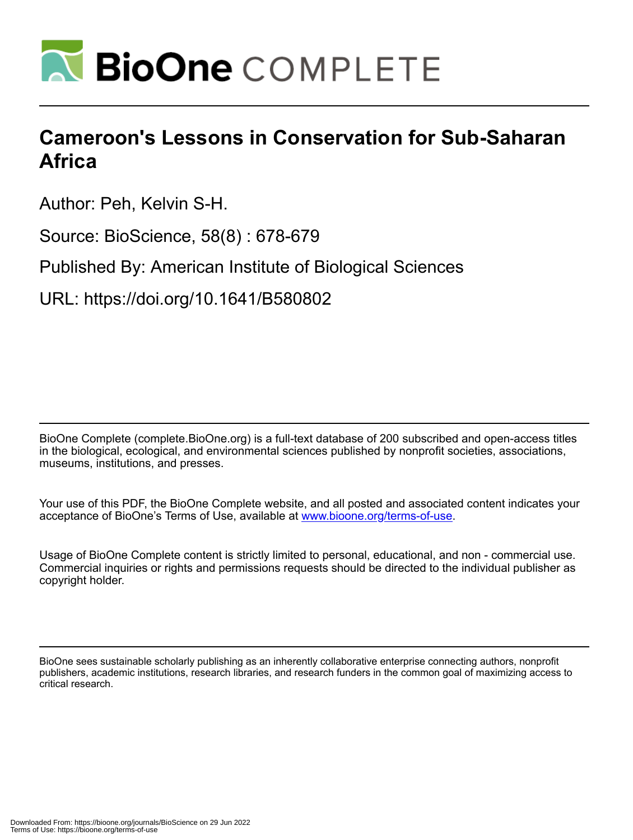

## **Cameroon's Lessons in Conservation for Sub-Saharan Africa**

Author: Peh, Kelvin S-H.

Source: BioScience, 58(8) : 678-679

Published By: American Institute of Biological Sciences

URL: https://doi.org/10.1641/B580802

BioOne Complete (complete.BioOne.org) is a full-text database of 200 subscribed and open-access titles in the biological, ecological, and environmental sciences published by nonprofit societies, associations, museums, institutions, and presses.

Your use of this PDF, the BioOne Complete website, and all posted and associated content indicates your acceptance of BioOne's Terms of Use, available at www.bioone.org/terms-of-use.

Usage of BioOne Complete content is strictly limited to personal, educational, and non - commercial use. Commercial inquiries or rights and permissions requests should be directed to the individual publisher as copyright holder.

BioOne sees sustainable scholarly publishing as an inherently collaborative enterprise connecting authors, nonprofit publishers, academic institutions, research libraries, and research funders in the common goal of maximizing access to critical research.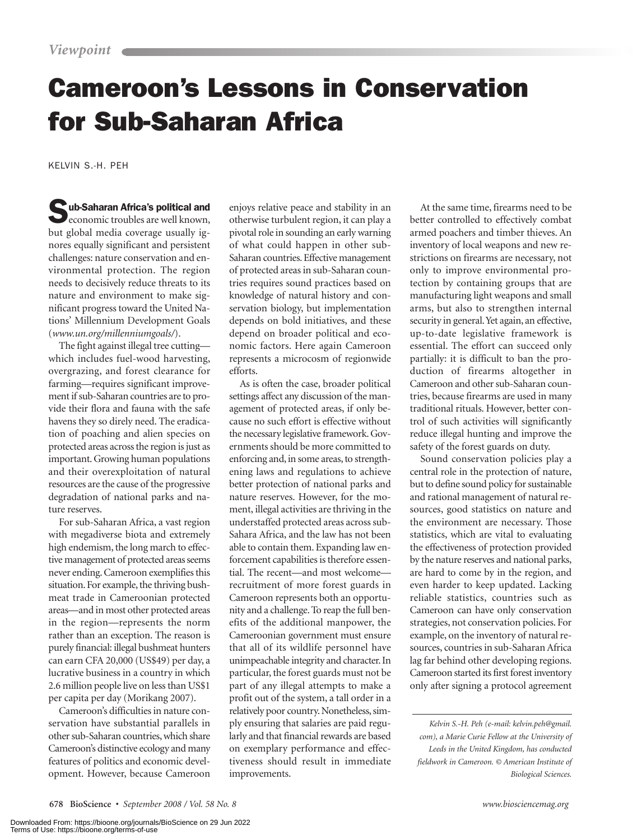## Cameroon's Lessons in Conservation for Sub-Saharan Africa

KELVIN S.-H. PEH

Sub-Saharan Africa's political and<br>economic troubles are well known, but global media coverage usually ignores equally significant and persistent challenges: nature conservation and environmental protection. The region needs to decisively reduce threats to its nature and environment to make significant progress toward the United Nations' Millennium Development Goals (*www.un.org/millenniumgoals/*).

The fight against illegal tree cutting which includes fuel-wood harvesting, overgrazing, and forest clearance for farming—requires significant improvement if sub-Saharan countries are to provide their flora and fauna with the safe havens they so direly need. The eradication of poaching and alien species on protected areas across the region is just as important. Growing human populations and their overexploitation of natural resources are the cause of the progressive degradation of national parks and nature reserves.

For sub-Saharan Africa, a vast region with megadiverse biota and extremely high endemism, the long march to effective management of protected areas seems never ending. Cameroon exemplifies this situation. For example, the thriving bushmeat trade in Cameroonian protected areas—and in most other protected areas in the region—represents the norm rather than an exception. The reason is purely financial: illegal bushmeat hunters can earn CFA 20,000 (US\$49) per day, a lucrative business in a country in which 2.6 million people live on less than US\$1 per capita per day (Morikang 2007).

Cameroon's difficulties in nature conservation have substantial parallels in other sub-Saharan countries, which share Cameroon's distinctive ecology and many features of politics and economic development. However, because Cameroon

enjoys relative peace and stability in an otherwise turbulent region, it can play a pivotal role in sounding an early warning of what could happen in other sub- Saharan countries. Effective management of protected areas in sub-Saharan countries requires sound practices based on knowledge of natural history and conservation biology, but implementation depends on bold initiatives, and these depend on broader political and economic factors. Here again Cameroon represents a microcosm of regionwide efforts.

As is often the case, broader political settings affect any discussion of the management of protected areas, if only because no such effort is effective without the necessary legislative framework. Governments should be more committed to enforcing and, in some areas, to strengthening laws and regulations to achieve better protection of national parks and nature reserves. However, for the moment, illegal activities are thriving in the understaffed protected areas across sub-Sahara Africa, and the law has not been able to contain them. Expanding law enforcement capabilities is therefore essential. The recent—and most welcome recruitment of more forest guards in Cameroon represents both an opportunity and a challenge. To reap the full benefits of the additional manpower, the Cameroonian government must ensure that all of its wildlife personnel have unimpeachable integrity and character. In particular, the forest guards must not be part of any illegal attempts to make a profit out of the system, a tall order in a relatively poor country. Nonetheless, simply ensuring that salaries are paid regularly and that financial rewards are based on exemplary performance and effectiveness should result in immediate improvements.

At the same time, firearms need to be better controlled to effectively combat armed poachers and timber thieves. An inventory of local weapons and new restrictions on firearms are necessary, not only to improve environmental protection by containing groups that are manufacturing light weapons and small arms, but also to strengthen internal security in general. Yet again, an effective, up-to-date legislative framework is essential. The effort can succeed only partially: it is difficult to ban the production of firearms altogether in Cameroon and other sub-Saharan countries, because firearms are used in many traditional rituals. However, better control of such activities will significantly reduce illegal hunting and improve the safety of the forest guards on duty.

Sound conservation policies play a central role in the protection of nature, but to define sound policy for sustainable and rational management of natural resources, good statistics on nature and the environment are necessary. Those statistics, which are vital to evaluating the effectiveness of protection provided by the nature reserves and national parks, are hard to come by in the region, and even harder to keep updated. Lacking reliable statistics, countries such as Cameroon can have only conservation strategies, not conservation policies. For example, on the inventory of natural resources, countries in sub-Saharan Africa lag far behind other developing regions. Cameroon started its first forest inventory only after signing a protocol agreement

*Kelvin S.-H. Peh (e-mail: kelvin.peh@gmail. com), a Marie Curie Fellow at the University of Leeds in the United Kingdom, has conducted fieldwork in Cameroon. © American Institute of Biological Sciences.*